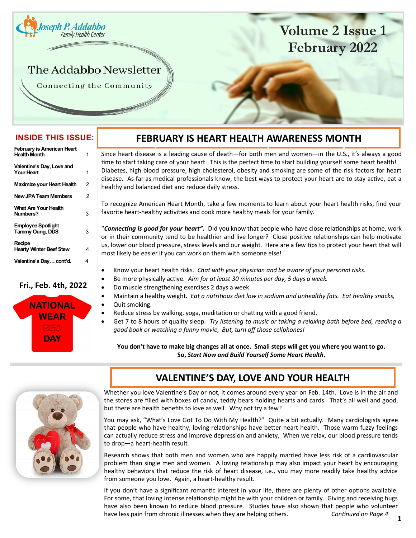<span id="page-0-0"></span>

# **Volume 2 Issue 1 February 2022**

# The Addabbo Newsletter

Connecting the Community

### **INSIDE THIS ISSUE:**

| <b>February is American Heart</b><br><b>Health Month</b> | 1 |
|----------------------------------------------------------|---|
| Valentine's Day, Love and<br><b>Your Heart</b>           | 1 |
| <b>Maximize your Heart Health</b>                        | 2 |
| <b>New JPA Team Members</b>                              | 2 |
| What Are Your Health<br>Numbers?                         | 3 |
| <b>Employee Spotlight</b><br><b>Tammy Oung, DDS</b>      | 3 |
| Recipe<br><b>Hearty Winter Beef Stew</b>                 | 4 |
| Valentine's Day cont'd.                                  | 4 |

#### **Fri., Feb. 4th, 2022**



# **FEBRUARY IS HEART HEALTH AWARENESS MONTH**

Since heart disease is a leading cause of death—for both men and women—in the U.S., it's always a good time to start taking care of your heart. This is the perfect time to start building yourself some heart health! Diabetes, high blood pressure, high cholesterol, obesity and smoking are some of the risk factors for heart disease. As far as medical professionals know, the best ways to protect your heart are to stay active, eat a healthy and balanced diet and reduce daily stress.

To recognize American Heart Month, take a few moments to learn about your heart health risks, find your favorite heart-healthy activities and cook more healthy meals for your family.

"*Connecting is good for your heart".* Did you know that people who have close relationships at home, work or in their community tend to be healthier and live longer? Close positive relationships can help motivate us, lower our blood pressure, stress levels and our weight. Here are a few tips to protect your heart that will most likely be easier if you can work on them with someone else!

- Know your heart health risks. *Chat with your physician and be aware of your personal risks.*
- Be more physically active. *Aim for at least 30 minutes per day, 5 days a week.*
- Do muscle strengthening exercises 2 days a week.
- Maintain a healthy weight. *Eat a nutritious diet low in sodium and unhealthy fats. Eat healthy snacks,* Quit smoking.
- Reduce stress by walking, yoga, meditation or chatting with a good friend.
- Get 7 to 8 hours of quality sleep. *Try listening to music or taking a relaxing bath before bed, reading a good book or watching a funny movie, But, turn off those cellphones!*

**You don't have to make big changes all at once. Small steps will get you where you want to go. So,** *Start Now and Build Yourself Some Heart Health***.**



## **VALENTINE'S DAY, LOVE AND YOUR HEALTH**

Whether you love Valentine's Day or not, it comes around every year on Feb. 14th. Love is in the air and the stores are filled with boxes of candy, teddy bears holding hearts and cards. That's all well and good, but there are health benefits to love as well. Why not try a few?

You may ask, "What's Love Got To Do With My Health?" Quite a bit actually. Many cardiologists agree that people who have healthy, loving relationships have better heart health. Those warm fuzzy feelings can actually reduce stress and improve depression and anxiety, When we relax, our blood pressure tends to drop—a heart-health result.

Research shows that both men and women who are happily married have less risk of a cardiovascular problem than single men and women. A loving relationship may also impact your heart by encouraging healthy behaviors that reduce the risk of heart disease, i.e., you may more readily take healthy advice from someone you love. Again, a heart-healthy result.

If you don't have a significant romantic interest in your life, there are plenty of other options available. For some, that loving intense relationship might be with your children or family. Giving and receiving hugs have also been known to reduce blood pressure. Studies have also shown that people who volunteer have less pain from chronic illnesses when they are helping others. *Continued on Page 4*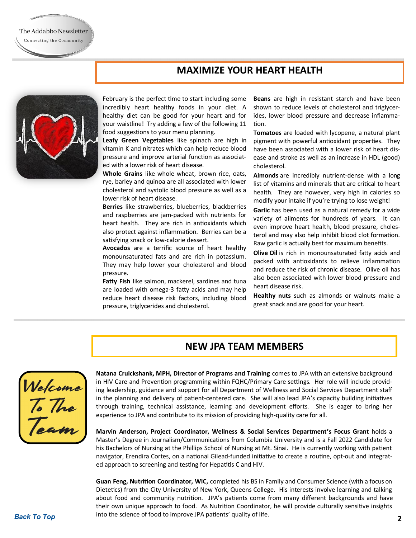

The Addabbo Newsletter Connecting the Community

> February is the perfect time to start including some incredibly heart healthy foods in your diet. A healthy diet can be good for your heart and for your waistline! Try adding a few of the following 11 food suggestions to your menu planning.

> **Leafy Green Vegetables** like spinach are high in vitamin K and nitrates which can help reduce blood pressure and improve arterial function as associated with a lower risk of heart disease.

> **Whole Grains** like whole wheat, brown rice, oats, rye, barley and quinoa are all associated with lower cholesterol and systolic blood pressure as well as a lower risk of heart disease.

> **Berries** like strawberries, blueberries, blackberries and raspberries are jam-packed with nutrients for heart health. They are rich in antioxidants which also protect against inflammation. Berries can be a satisfying snack or low-calorie dessert.

> **Avocados** are a terrific source of heart healthy monounsaturated fats and are rich in potassium. They may help lower your cholesterol and blood pressure.

> **Fatty Fish** like salmon, mackerel, sardines and tuna are loaded with omega-3 fatty acids and may help reduce heart disease risk factors, including blood pressure, triglycerides and cholesterol.

**Beans** are high in resistant starch and have been shown to reduce levels of cholesterol and triglycerides, lower blood pressure and decrease inflammation.

**Tomatoes** are loaded with lycopene, a natural plant pigment with powerful antioxidant properties. They have been associated with a lower risk of heart disease and stroke as well as an increase in HDL (good) cholesterol.

**Almonds** are incredibly nutrient-dense with a long list of vitamins and minerals that are critical to heart health. They are however, very high in calories so modify your intake if you're trying to lose weight!

**Garlic** has been used as a natural remedy for a wide variety of ailments for hundreds of years. It can even improve heart health, blood pressure, cholesterol and may also help inhibit blood clot formation. Raw garlic is actually best for maximum benefits.

**Olive Oil** is rich in monounsaturated fatty acids and packed with antioxidants to relieve inflammation and reduce the risk of chronic disease. Olive oil has also been associated with lower blood pressure and heart disease risk.

**Healthy nuts** such as almonds or walnuts make a great snack and are good for your heart.

### **NEW JPA TEAM MEMBERS**

Welcome<br>To The<br>Team

**Natana Cruickshank, MPH, Director of Programs and Training** comes to JPA with an extensive background in HIV Care and Prevention programming within FQHC/Primary Care settings. Her role will include providing leadership, guidance and support for all Department of Wellness and Social Services Department staff in the planning and delivery of patient-centered care. She will also lead JPA's capacity building initiatives through training, technical assistance, learning and development efforts. She is eager to bring her experience to JPA and contribute to its mission of providing high-quality care for all.

**Marvin Anderson, Project Coordinator, Wellness & Social Services Department's Focus Grant** holds a Master's Degree in Journalism/Communications from Columbia University and is a Fall 2022 Candidate for his Bachelors of Nursing at the Phillips School of Nursing at Mt. Sinai. He is currently working with patient navigator, Erendira Cortes, on a national Gilead-funded initiative to create a routine, opt-out and integrated approach to screening and testing for Hepatitis C and HIV.

**Guan Feng, Nutrition Coordinator, WIC,** completed his BS in Family and Consumer Science (with a focus on Dietetics) from the City University of New York, Queens College. His interests involve learning and talking about food and community nutrition. JPA's patients come from many different backgrounds and have their own unique approach to food. As Nutrition Coordinator, he will provide culturally sensitive insights into the science of food to improve JPA patients' quality of life.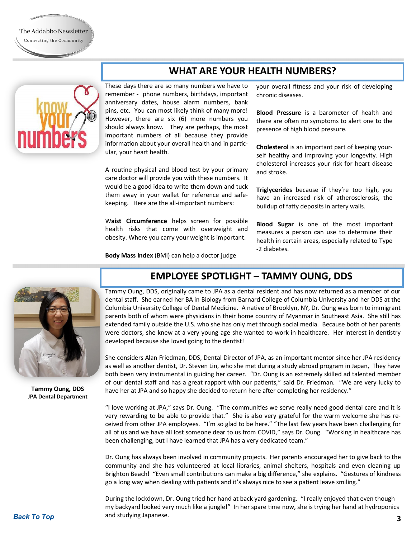<span id="page-2-0"></span>

### **WHAT ARE YOUR HEALTH NUMBERS?**

These days there are so many numbers we have to remember - phone numbers, birthdays, important anniversary dates, house alarm numbers, bank pins, etc. You can most likely think of many more! However, there are six (6) more numbers you should always know. They are perhaps, the most important numbers of all because they provide information about your overall health and in particular, your heart health.

A routine physical and blood test by your primary care doctor will provide you with these numbers. It would be a good idea to write them down and tuck them away in your wallet for reference and safekeeping. Here are the all-important numbers:

W**aist Circumference** helps screen for possible health risks that come with overweight and obesity. Where you carry your weight is important.

**Body Mass Index** (BMI) can help a doctor judge

your overall fitness and your risk of developing chronic diseases.

**Blood Pressure** is a barometer of health and there are often no symptoms to alert one to the presence of high blood pressure.

**Cholesterol** is an important part of keeping yourself healthy and improving your longevity. High cholesterol increases your risk for heart disease and stroke.

**Triglycerides** because if they're too high, you have an increased risk of atherosclerosis, the buildup of fatty deposits in artery walls.

**Blood Sugar** is one of the most important measures a person can use to determine their health in certain areas, especially related to Type -2 diabetes.



**Tammy Oung, DDS JPA Dental Department**

### **EMPLOYEE SPOTLIGHT – TAMMY OUNG, DDS**

Tammy Oung, DDS, originally came to JPA as a dental resident and has now returned as a member of our dental staff. She earned her BA in Biology from Barnard College of Columbia University and her DDS at the Columbia University College of Dental Medicine. A native of Brooklyn, NY, Dr. Oung was born to immigrant parents both of whom were physicians in their home country of Myanmar in Southeast Asia. She still has extended family outside the U.S. who she has only met through social media. Because both of her parents were doctors, she knew at a very young age she wanted to work in healthcare. Her interest in dentistry developed because she loved going to the dentist!

She considers Alan Friedman, DDS, Dental Director of JPA, as an important mentor since her JPA residency as well as another dentist, Dr. Steven Lin, who she met during a study abroad program in Japan, They have both been very instrumental in guiding her career. "Dr. Oung is an extremely skilled ad talented member of our dental staff and has a great rapport with our patients," said Dr. Friedman. "We are very lucky to have her at JPA and so happy she decided to return here after completing her residency."

"I love working at JPA," says Dr. Oung. "The communities we serve really need good dental care and it is very rewarding to be able to provide that." She is also very grateful for the warm welcome she has received from other JPA employees. "I'm so glad to be here." "The last few years have been challenging for all of us and we have all lost someone dear to us from COVID," says Dr. Oung. "Working in healthcare has been challenging, but I have learned that JPA has a very dedicated team."

Dr. Oung has always been involved in community projects. Her parents encouraged her to give back to the community and she has volunteered at local libraries, animal shelters, hospitals and even cleaning up Brighton Beach! "Even small contributions can make a big difference," she explains. "Gestures of kindness go a long way when dealing with patients and it's always nice to see a patient leave smiling."

**[Back To Top](#page-0-0) 3** and studying Japanese. During the lockdown, Dr. Oung tried her hand at back yard gardening. "I really enjoyed that even though my backyard looked very much like a jungle!" In her spare time now, she is trying her hand at hydroponics and studying Japanese.